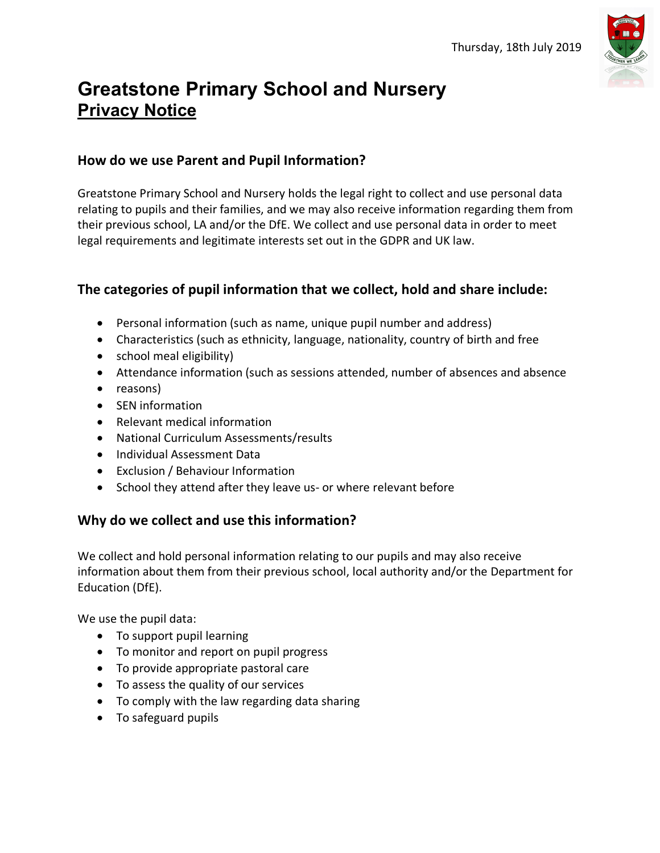

# **Greatstone Primary School and Nursery Privacy Notice**

### **How do we use Parent and Pupil Information?**

Greatstone Primary School and Nursery holds the legal right to collect and use personal data relating to pupils and their families, and we may also receive information regarding them from their previous school, LA and/or the DfE. We collect and use personal data in order to meet legal requirements and legitimate interests set out in the GDPR and UK law.

## **The categories of pupil information that we collect, hold and share include:**

- Personal information (such as name, unique pupil number and address)
- Characteristics (such as ethnicity, language, nationality, country of birth and free
- school meal eligibility)
- Attendance information (such as sessions attended, number of absences and absence
- reasons)
- SEN information
- Relevant medical information
- National Curriculum Assessments/results
- Individual Assessment Data
- Exclusion / Behaviour Information
- School they attend after they leave us- or where relevant before

## **Why do we collect and use this information?**

We collect and hold personal information relating to our pupils and may also receive information about them from their previous school, local authority and/or the Department for Education (DfE).

We use the pupil data:

- To support pupil learning
- To monitor and report on pupil progress
- To provide appropriate pastoral care
- To assess the quality of our services
- To comply with the law regarding data sharing
- To safeguard pupils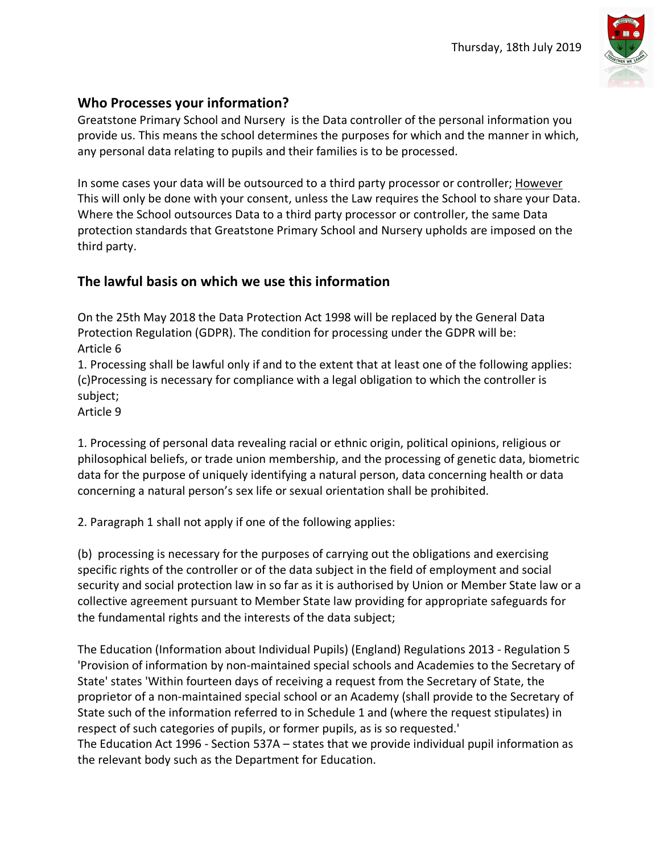

## **Who Processes your information?**

Greatstone Primary School and Nursery is the Data controller of the personal information you provide us. This means the school determines the purposes for which and the manner in which, any personal data relating to pupils and their families is to be processed.

In some cases your data will be outsourced to a third party processor or controller; However This will only be done with your consent, unless the Law requires the School to share your Data. Where the School outsources Data to a third party processor or controller, the same Data protection standards that Greatstone Primary School and Nursery upholds are imposed on the third party.

## **The lawful basis on which we use this information**

On the 25th May 2018 the Data Protection Act 1998 will be replaced by the General Data Protection Regulation (GDPR). The condition for processing under the GDPR will be: Article 6

1. Processing shall be lawful only if and to the extent that at least one of the following applies: (c)Processing is necessary for compliance with a legal obligation to which the controller is subject;

Article 9

1. Processing of personal data revealing racial or ethnic origin, political opinions, religious or philosophical beliefs, or trade union membership, and the processing of genetic data, biometric data for the purpose of uniquely identifying a natural person, data concerning health or data concerning a natural person's sex life or sexual orientation shall be prohibited.

2. Paragraph 1 shall not apply if one of the following applies:

(b) processing is necessary for the purposes of carrying out the obligations and exercising specific rights of the controller or of the data subject in the field of employment and social security and social protection law in so far as it is authorised by Union or Member State law or a collective agreement pursuant to Member State law providing for appropriate safeguards for the fundamental rights and the interests of the data subject;

The Education (Information about Individual Pupils) (England) Regulations 2013 - Regulation 5 'Provision of information by non-maintained special schools and Academies to the Secretary of State' states 'Within fourteen days of receiving a request from the Secretary of State, the proprietor of a non-maintained special school or an Academy (shall provide to the Secretary of State such of the information referred to in Schedule 1 and (where the request stipulates) in respect of such categories of pupils, or former pupils, as is so requested.' The Education Act 1996 - Section 537A – states that we provide individual pupil information as the relevant body such as the Department for Education.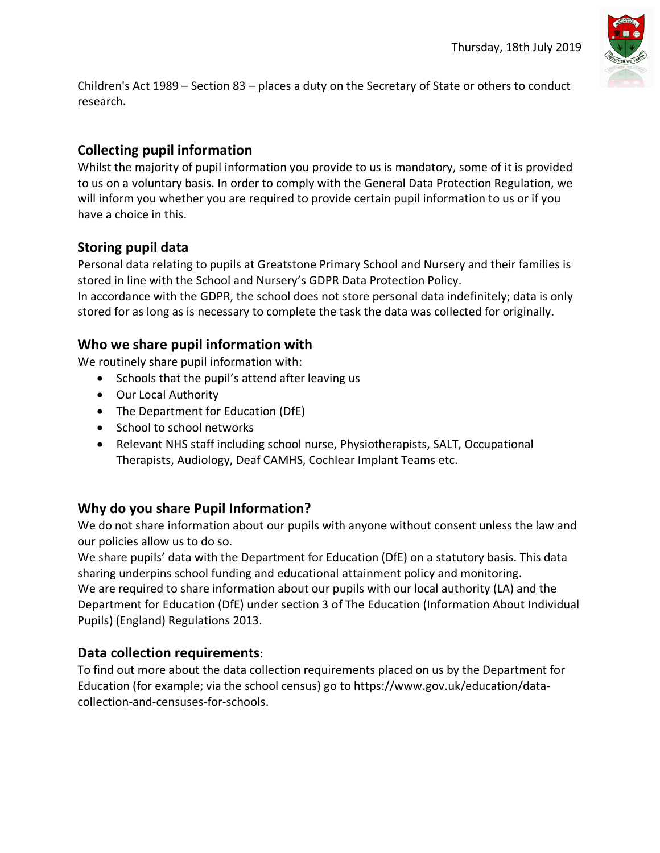

Children's Act 1989 – Section 83 – places a duty on the Secretary of State or others to conduct research.

## **Collecting pupil information**

Whilst the majority of pupil information you provide to us is mandatory, some of it is provided to us on a voluntary basis. In order to comply with the General Data Protection Regulation, we will inform you whether you are required to provide certain pupil information to us or if you have a choice in this.

#### **Storing pupil data**

Personal data relating to pupils at Greatstone Primary School and Nursery and their families is stored in line with the School and Nursery's GDPR Data Protection Policy.

In accordance with the GDPR, the school does not store personal data indefinitely; data is only stored for as long as is necessary to complete the task the data was collected for originally.

#### **Who we share pupil information with**

We routinely share pupil information with:

- Schools that the pupil's attend after leaving us
- Our Local Authority
- The Department for Education (DfE)
- School to school networks
- Relevant NHS staff including school nurse, Physiotherapists, SALT, Occupational Therapists, Audiology, Deaf CAMHS, Cochlear Implant Teams etc.

#### **Why do you share Pupil Information?**

We do not share information about our pupils with anyone without consent unless the law and our policies allow us to do so.

We share pupils' data with the Department for Education (DfE) on a statutory basis. This data sharing underpins school funding and educational attainment policy and monitoring. We are required to share information about our pupils with our local authority (LA) and the Department for Education (DfE) under section 3 of The Education (Information About Individual Pupils) (England) Regulations 2013.

#### **Data collection requirements**:

To find out more about the data collection requirements placed on us by the Department for Education (for example; via the school census) go to https://www.gov.uk/education/datacollection-and-censuses-for-schools.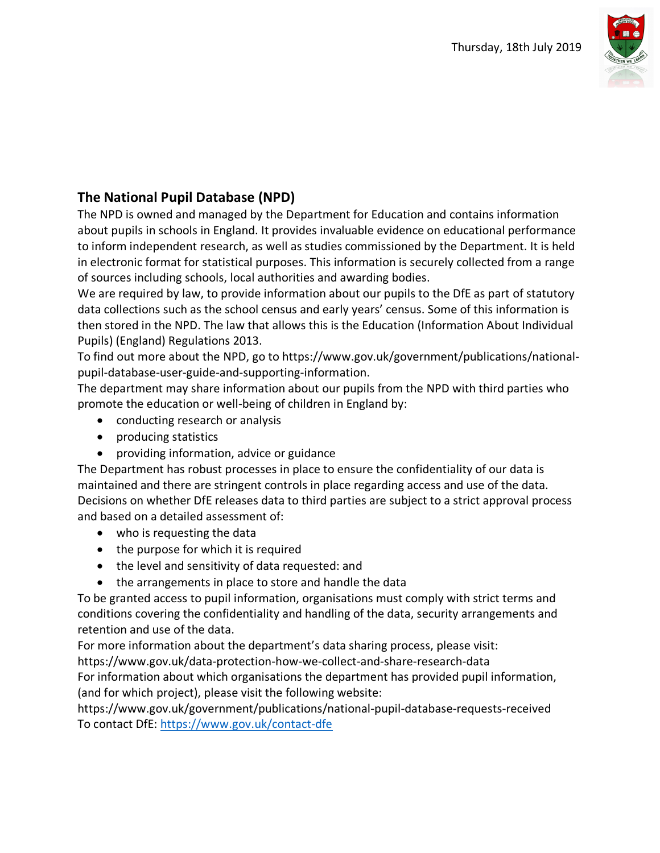

## **The National Pupil Database (NPD)**

The NPD is owned and managed by the Department for Education and contains information about pupils in schools in England. It provides invaluable evidence on educational performance to inform independent research, as well as studies commissioned by the Department. It is held in electronic format for statistical purposes. This information is securely collected from a range of sources including schools, local authorities and awarding bodies.

We are required by law, to provide information about our pupils to the DfE as part of statutory data collections such as the school census and early years' census. Some of this information is then stored in the NPD. The law that allows this is the Education (Information About Individual Pupils) (England) Regulations 2013.

To find out more about the NPD, go to https://www.gov.uk/government/publications/nationalpupil-database-user-guide-and-supporting-information.

The department may share information about our pupils from the NPD with third parties who promote the education or well-being of children in England by:

- conducting research or analysis
- producing statistics
- providing information, advice or guidance

The Department has robust processes in place to ensure the confidentiality of our data is maintained and there are stringent controls in place regarding access and use of the data. Decisions on whether DfE releases data to third parties are subject to a strict approval process and based on a detailed assessment of:

- who is requesting the data
- the purpose for which it is required
- the level and sensitivity of data requested: and
- the arrangements in place to store and handle the data

To be granted access to pupil information, organisations must comply with strict terms and conditions covering the confidentiality and handling of the data, security arrangements and retention and use of the data.

For more information about the department's data sharing process, please visit:

https://www.gov.uk/data-protection-how-we-collect-and-share-research-data

For information about which organisations the department has provided pupil information, (and for which project), please visit the following website:

https://www.gov.uk/government/publications/national-pupil-database-requests-received To contact DfE: https://www.gov.uk/contact-dfe